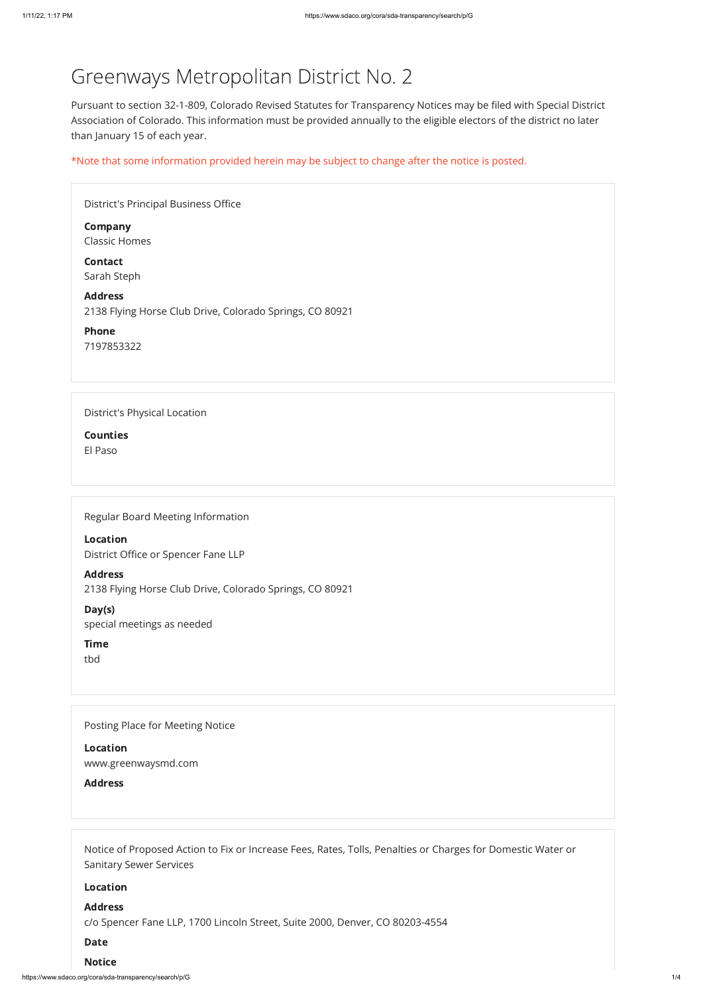https://www.sdaco.org/cora/sda-transparency/search/p/G 1/4

# Greenways Metropolitan District No. 2

Pursuant to section 32-1-809, Colorado Revised Statutes for Transparency Notices may be filed with Special District Association of Colorado. This information must be provided annually to the eligible electors of the district no later than January 15 of each year.

\*Note that some information provided herein may be subject to change after the notice is posted.

| <b>District's Principal Business Office</b>                                |
|----------------------------------------------------------------------------|
| <b>Company</b><br><b>Classic Homes</b>                                     |
| <b>Contact</b><br>Sarah Steph                                              |
| <b>Address</b><br>2138 Flying Horse Club Drive, Colorado Springs, CO 80921 |
| Phone<br>7197853322                                                        |
|                                                                            |
| <b>District's Physical Location</b>                                        |
| <b>Counties</b>                                                            |
| El Paso                                                                    |
|                                                                            |
|                                                                            |
| $\sim$ $\sim$ $\sim$                                                       |

Regular Board Meeting Information

Location District Office or Spencer Fane LLP

Address 2138 Flying Horse Club Drive, Colorado Springs, CO 80921

Day(s) special meetings as needed

Time

tbd

Posting Place for Meeting Notice

Location

www.greenwaysmd.com

Address

Notice of Proposed Action to Fix or Increase Fees, Rates, Tolls, Penalties or Charges for Domestic Water or Sanitary Sewer Services

Location

#### Address

c/o Spencer Fane LLP, 1700 Lincoln Street, Suite 2000, Denver, CO 80203-4554

#### Date

#### Notice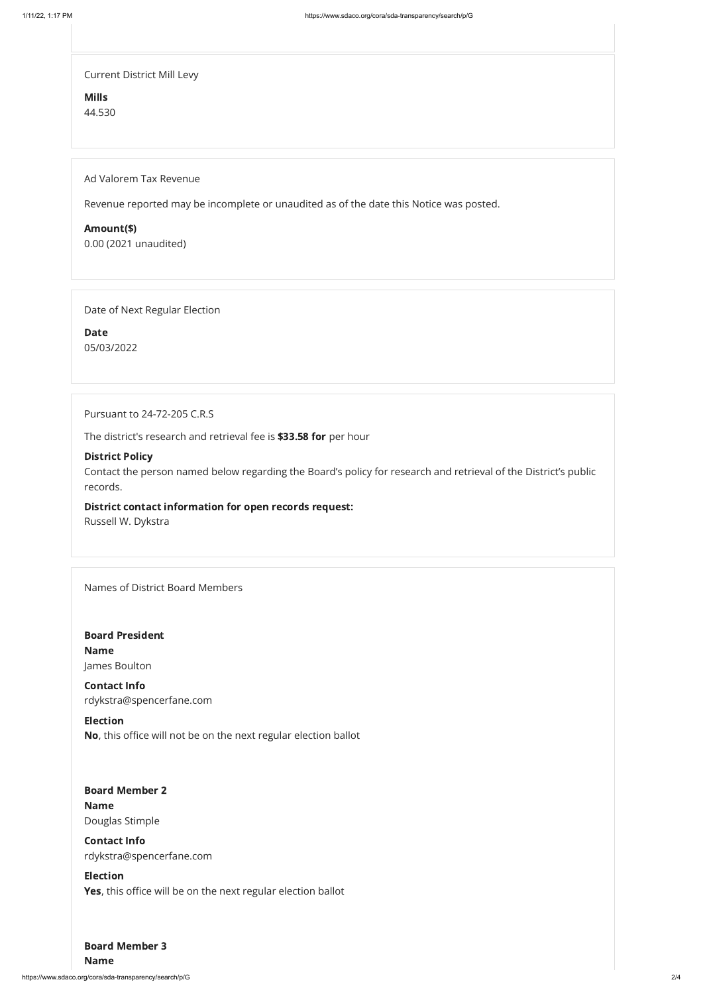https://www.sdaco.org/cora/sda-transparency/search/p/G 2/4

Current District Mill Levy

Mills 44.530

Ad Valorem Tax Revenue

Revenue reported may be incomplete or unaudited as of the date this Notice was posted.

Amount(\$)

0.00 (2021 unaudited)

Date of Next Regular Election

Date 05/03/2022

Pursuant to 24-72-205 C.R.S

The district's research and retrieval fee is \$33.58 for per hour

#### District Policy

Contact the person named below regarding the Board's policy for research and retrieval of the District's public records.

#### District contact information for open records request:

Russell W. Dykstra

Names of District Board Members

# Board Member 2

Board President Name James Boulton

#### Board Member 3

Contact Info rdykstra@spencerfane.com

Election No, this office will not be on the next regular election ballot

### Name

Douglas Stimple

## Contact Info

rdykstra@spencerfane.com

### Election

Yes, this office will be on the next regular election ballot

Name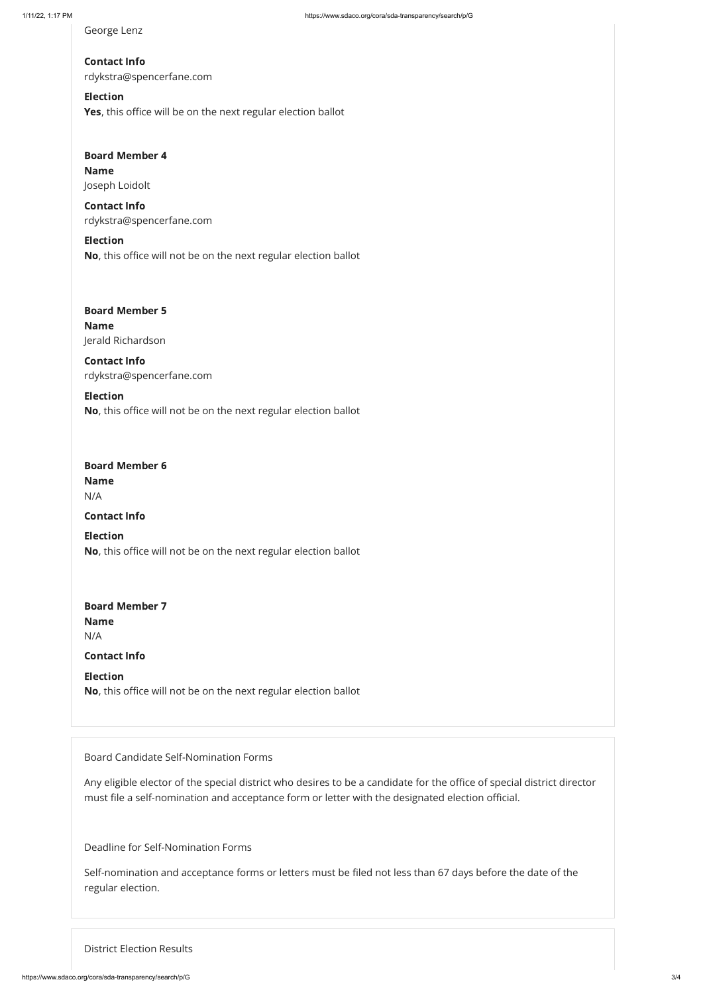## Election Yes, this office will be on the next regular election ballot

### Board Member 6

George Lenz

# Contact Info rdykstra@spencerfane.com

## Board Member 4 Name Joseph Loidolt

# Board Member 5 Name Jerald Richardson

Contact Info rdykstra@spencerfane.com

## Election

No, this office will not be on the next regular election ballot

# Board Member 7 Name N/A

Contact Info rdykstra@spencerfane.com

## Election No, this office will not be on the next regular election ballot

Name N/A

### Contact Info

Election No, this office will not be on the next regular election ballot

Contact Info

Election No, this office will not be on the next regular election ballot

Board Candidate Self-Nomination Forms

Any eligible elector of the special district who desires to be a candidate for the office of special district director must file a self-nomination and acceptance form or letter with the designated election official.

Deadline for Self-Nomination Forms

Self-nomination and acceptance forms or letters must be filed not less than 67 days before the date of the regular election.

District Election Results